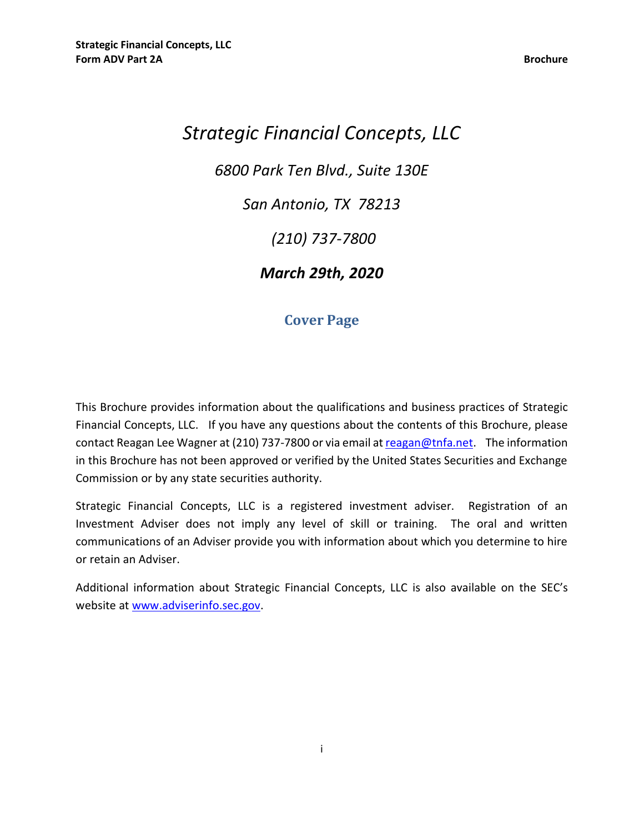# *Strategic Financial Concepts, LLC 6800 Park Ten Blvd., Suite 130E San Antonio, TX 78213 (210) 737-7800 March 29th, 2020*

## **Cover Page**

<span id="page-0-0"></span>This Brochure provides information about the qualifications and business practices of Strategic Financial Concepts, LLC. If you have any questions about the contents of this Brochure, please contact Reagan Lee Wagner at (210) 737-7800 or via email at [reagan@tnfa.net.](mailto:allok@ufgworld.com) The information in this Brochure has not been approved or verified by the United States Securities and Exchange Commission or by any state securities authority.

Strategic Financial Concepts, LLC is a registered investment adviser. Registration of an Investment Adviser does not imply any level of skill or training. The oral and written communications of an Adviser provide you with information about which you determine to hire or retain an Adviser.

Additional information about Strategic Financial Concepts, LLC is also available on the SEC's website at [www.adviserinfo.sec.gov.](http://www.adviserinfo.sec.gov/)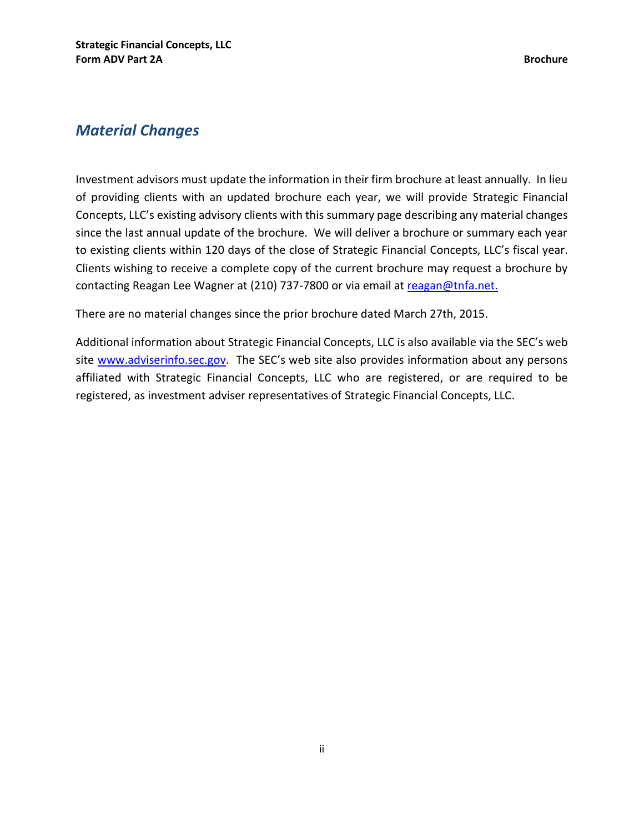## <span id="page-1-0"></span>*Material Changes*

Investment advisors must update the information in their firm brochure at least annually. In lieu of providing clients with an updated brochure each year, we will provide Strategic Financial Concepts, LLC's existing advisory clients with this summary page describing any material changes since the last annual update of the brochure. We will deliver a brochure or summary each year to existing clients within 120 days of the close of Strategic Financial Concepts, LLC's fiscal year. Clients wishing to receive a complete copy of the current brochure may request a brochure by contacting Reagan Lee Wagner at (210) 737-7800 or via email at [reagan@tnfa.net.](mailto:allok@ufgworld.com)

There are no material changes since the prior brochure dated March 27th, 2015.

Additional information about Strategic Financial Concepts, LLC is also available via the SEC's web site [www.adviserinfo.sec.gov](http://www.adviserinfo.sec.gov/). The SEC's web site also provides information about any persons affiliated with Strategic Financial Concepts, LLC who are registered, or are required to be registered, as investment adviser representatives of Strategic Financial Concepts, LLC.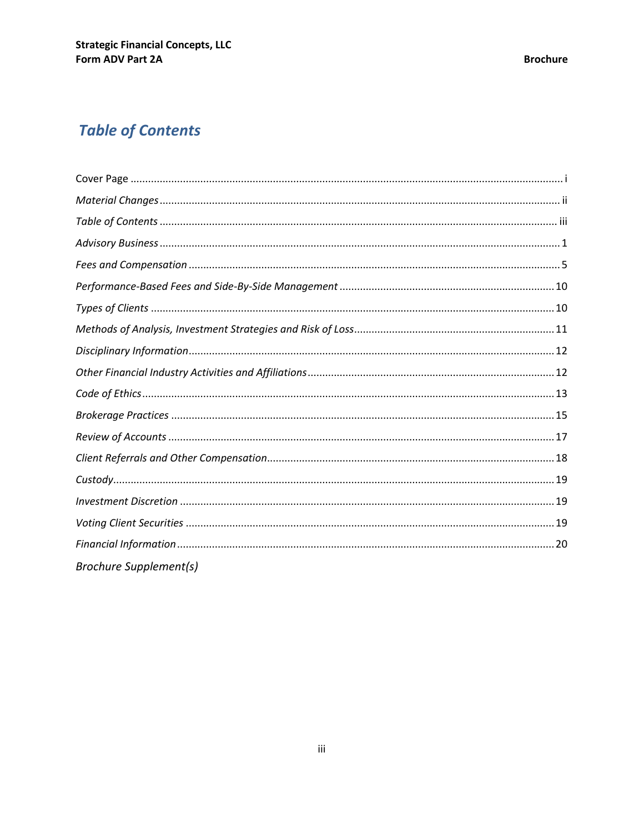## <span id="page-2-0"></span>**Table of Contents**

| <b>Brochure Supplement(s)</b> |  |
|-------------------------------|--|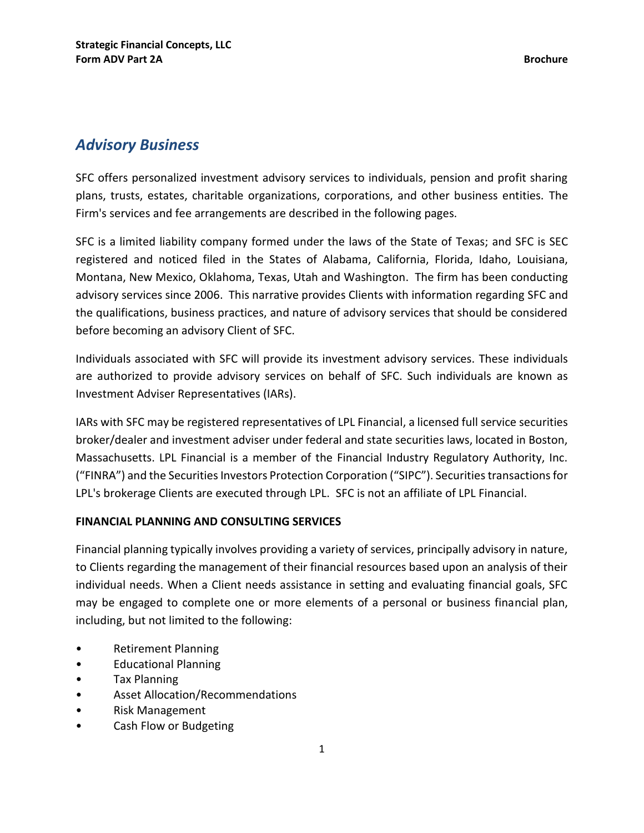## <span id="page-3-0"></span>*Advisory Business*

SFC offers personalized investment advisory services to individuals, pension and profit sharing plans, trusts, estates, charitable organizations, corporations, and other business entities. The Firm's services and fee arrangements are described in the following pages.

SFC is a limited liability company formed under the laws of the State of Texas; and SFC is SEC registered and noticed filed in the States of Alabama, California, Florida, Idaho, Louisiana, Montana, New Mexico, Oklahoma, Texas, Utah and Washington. The firm has been conducting advisory services since 2006. This narrative provides Clients with information regarding SFC and the qualifications, business practices, and nature of advisory services that should be considered before becoming an advisory Client of SFC.

Individuals associated with SFC will provide its investment advisory services. These individuals are authorized to provide advisory services on behalf of SFC. Such individuals are known as Investment Adviser Representatives (IARs).

IARs with SFC may be registered representatives of LPL Financial, a licensed full service securities broker/dealer and investment adviser under federal and state securities laws, located in Boston, Massachusetts. LPL Financial is a member of the Financial Industry Regulatory Authority, Inc. ("FINRA") and the Securities Investors Protection Corporation ("SIPC"). Securities transactions for LPL's brokerage Clients are executed through LPL. SFC is not an affiliate of LPL Financial.

#### **FINANCIAL PLANNING AND CONSULTING SERVICES**

Financial planning typically involves providing a variety of services, principally advisory in nature, to Clients regarding the management of their financial resources based upon an analysis of their individual needs. When a Client needs assistance in setting and evaluating financial goals, SFC may be engaged to complete one or more elements of a personal or business financial plan, including, but not limited to the following:

- Retirement Planning
- Educational Planning
- Tax Planning
- Asset Allocation/Recommendations
- Risk Management
- Cash Flow or Budgeting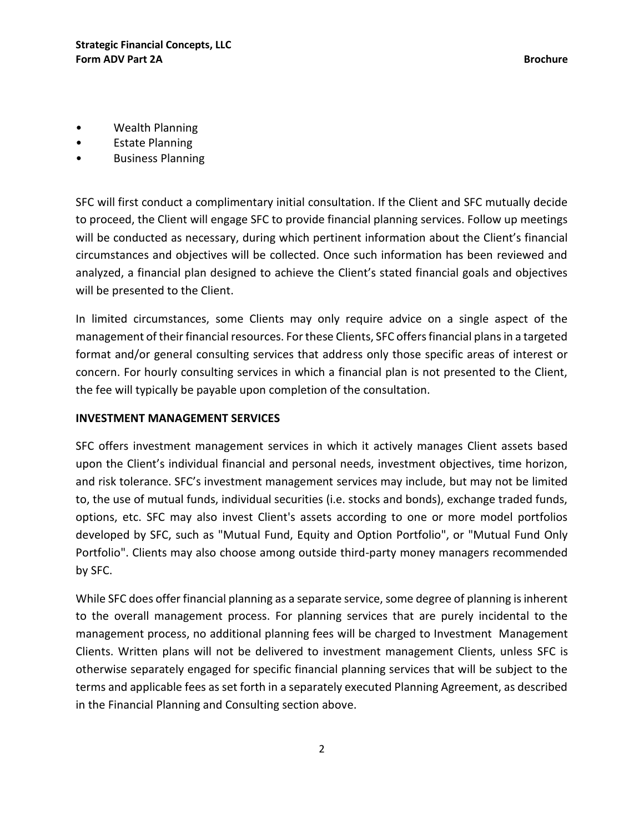- Wealth Planning
- Estate Planning
- Business Planning

SFC will first conduct a complimentary initial consultation. If the Client and SFC mutually decide to proceed, the Client will engage SFC to provide financial planning services. Follow up meetings will be conducted as necessary, during which pertinent information about the Client's financial circumstances and objectives will be collected. Once such information has been reviewed and analyzed, a financial plan designed to achieve the Client's stated financial goals and objectives will be presented to the Client.

In limited circumstances, some Clients may only require advice on a single aspect of the management of their financial resources. For these Clients, SFC offers financial plans in a targeted format and/or general consulting services that address only those specific areas of interest or concern. For hourly consulting services in which a financial plan is not presented to the Client, the fee will typically be payable upon completion of the consultation.

#### **INVESTMENT MANAGEMENT SERVICES**

SFC offers investment management services in which it actively manages Client assets based upon the Client's individual financial and personal needs, investment objectives, time horizon, and risk tolerance. SFC's investment management services may include, but may not be limited to, the use of mutual funds, individual securities (i.e. stocks and bonds), exchange traded funds, options, etc. SFC may also invest Client's assets according to one or more model portfolios developed by SFC, such as "Mutual Fund, Equity and Option Portfolio", or "Mutual Fund Only Portfolio". Clients may also choose among outside third-party money managers recommended by SFC.

While SFC does offer financial planning as a separate service, some degree of planning is inherent to the overall management process. For planning services that are purely incidental to the management process, no additional planning fees will be charged to Investment Management Clients. Written plans will not be delivered to investment management Clients, unless SFC is otherwise separately engaged for specific financial planning services that will be subject to the terms and applicable fees as set forth in a separately executed Planning Agreement, as described in the Financial Planning and Consulting section above.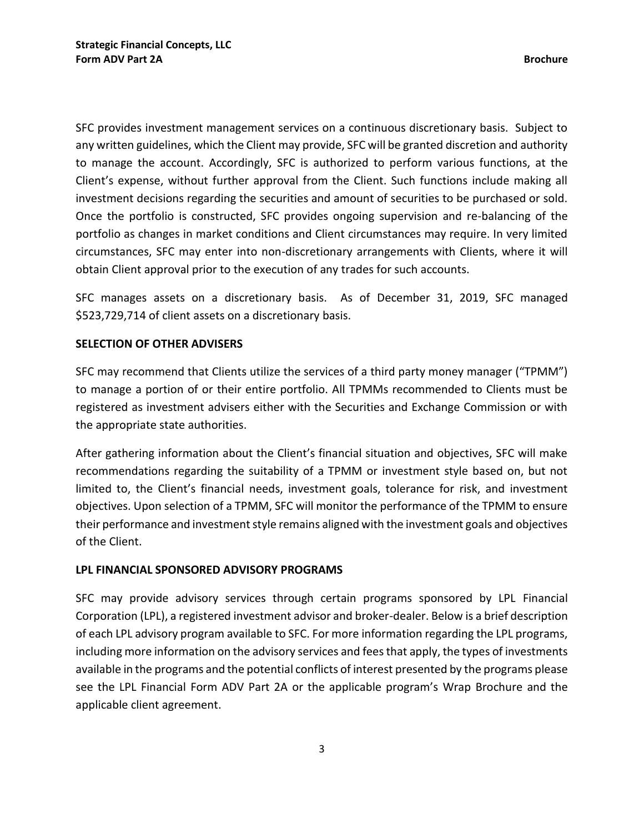SFC provides investment management services on a continuous discretionary basis. Subject to any written guidelines, which the Client may provide, SFC will be granted discretion and authority to manage the account. Accordingly, SFC is authorized to perform various functions, at the Client's expense, without further approval from the Client. Such functions include making all investment decisions regarding the securities and amount of securities to be purchased or sold. Once the portfolio is constructed, SFC provides ongoing supervision and re-balancing of the portfolio as changes in market conditions and Client circumstances may require. In very limited circumstances, SFC may enter into non-discretionary arrangements with Clients, where it will obtain Client approval prior to the execution of any trades for such accounts.

SFC manages assets on a discretionary basis. As of December 31, 2019, SFC managed \$523,729,714 of client assets on a discretionary basis.

#### **SELECTION OF OTHER ADVISERS**

SFC may recommend that Clients utilize the services of a third party money manager ("TPMM") to manage a portion of or their entire portfolio. All TPMMs recommended to Clients must be registered as investment advisers either with the Securities and Exchange Commission or with the appropriate state authorities.

After gathering information about the Client's financial situation and objectives, SFC will make recommendations regarding the suitability of a TPMM or investment style based on, but not limited to, the Client's financial needs, investment goals, tolerance for risk, and investment objectives. Upon selection of a TPMM, SFC will monitor the performance of the TPMM to ensure their performance and investment style remains aligned with the investment goals and objectives of the Client.

#### **LPL FINANCIAL SPONSORED ADVISORY PROGRAMS**

SFC may provide advisory services through certain programs sponsored by LPL Financial Corporation (LPL), a registered investment advisor and broker-dealer. Below is a brief description of each LPL advisory program available to SFC. For more information regarding the LPL programs, including more information on the advisory services and fees that apply, the types of investments available in the programs and the potential conflicts of interest presented by the programs please see the LPL Financial Form ADV Part 2A or the applicable program's Wrap Brochure and the applicable client agreement.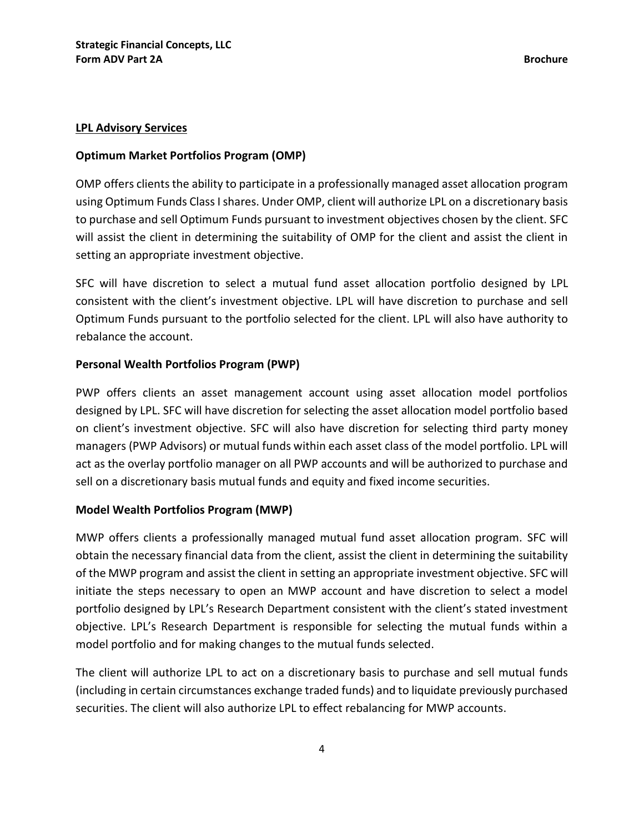#### **LPL Advisory Services**

#### **Optimum Market Portfolios Program (OMP)**

OMP offers clients the ability to participate in a professionally managed asset allocation program using Optimum Funds Class I shares. Under OMP, client will authorize LPL on a discretionary basis to purchase and sell Optimum Funds pursuant to investment objectives chosen by the client. SFC will assist the client in determining the suitability of OMP for the client and assist the client in setting an appropriate investment objective.

SFC will have discretion to select a mutual fund asset allocation portfolio designed by LPL consistent with the client's investment objective. LPL will have discretion to purchase and sell Optimum Funds pursuant to the portfolio selected for the client. LPL will also have authority to rebalance the account.

#### **Personal Wealth Portfolios Program (PWP)**

PWP offers clients an asset management account using asset allocation model portfolios designed by LPL. SFC will have discretion for selecting the asset allocation model portfolio based on client's investment objective. SFC will also have discretion for selecting third party money managers (PWP Advisors) or mutual funds within each asset class of the model portfolio. LPL will act as the overlay portfolio manager on all PWP accounts and will be authorized to purchase and sell on a discretionary basis mutual funds and equity and fixed income securities.

#### **Model Wealth Portfolios Program (MWP)**

MWP offers clients a professionally managed mutual fund asset allocation program. SFC will obtain the necessary financial data from the client, assist the client in determining the suitability of the MWP program and assist the client in setting an appropriate investment objective. SFC will initiate the steps necessary to open an MWP account and have discretion to select a model portfolio designed by LPL's Research Department consistent with the client's stated investment objective. LPL's Research Department is responsible for selecting the mutual funds within a model portfolio and for making changes to the mutual funds selected.

The client will authorize LPL to act on a discretionary basis to purchase and sell mutual funds (including in certain circumstances exchange traded funds) and to liquidate previously purchased securities. The client will also authorize LPL to effect rebalancing for MWP accounts.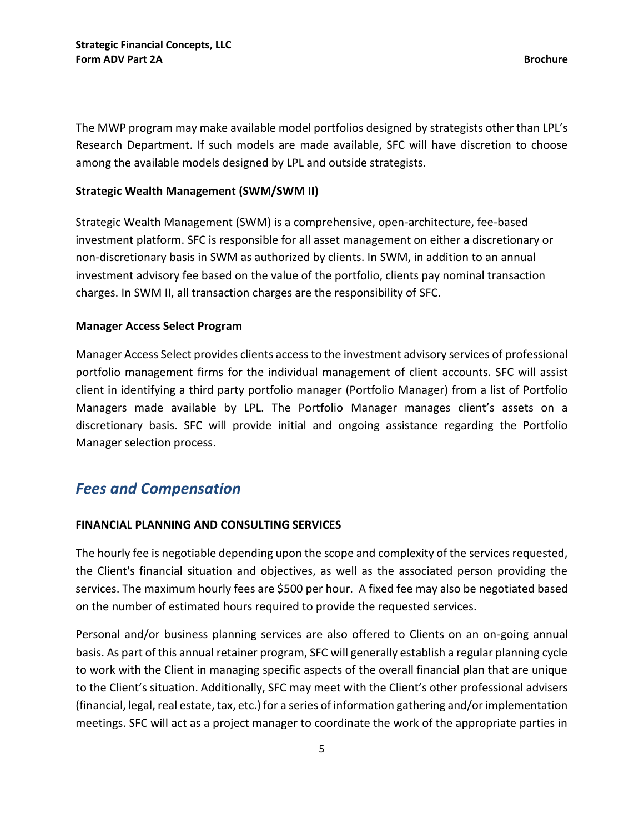The MWP program may make available model portfolios designed by strategists other than LPL's Research Department. If such models are made available, SFC will have discretion to choose among the available models designed by LPL and outside strategists.

#### **Strategic Wealth Management (SWM/SWM II)**

Strategic Wealth Management (SWM) is a comprehensive, open-architecture, fee-based investment platform. SFC is responsible for all asset management on either a discretionary or non-discretionary basis in SWM as authorized by clients. In SWM, in addition to an annual investment advisory fee based on the value of the portfolio, clients pay nominal transaction charges. In SWM II, all transaction charges are the responsibility of SFC.

#### **Manager Access Select Program**

Manager Access Select provides clients access to the investment advisory services of professional portfolio management firms for the individual management of client accounts. SFC will assist client in identifying a third party portfolio manager (Portfolio Manager) from a list of Portfolio Managers made available by LPL. The Portfolio Manager manages client's assets on a discretionary basis. SFC will provide initial and ongoing assistance regarding the Portfolio Manager selection process.

## <span id="page-7-0"></span>*Fees and Compensation*

#### **FINANCIAL PLANNING AND CONSULTING SERVICES**

The hourly fee is negotiable depending upon the scope and complexity of the services requested, the Client's financial situation and objectives, as well as the associated person providing the services. The maximum hourly fees are \$500 per hour. A fixed fee may also be negotiated based on the number of estimated hours required to provide the requested services.

Personal and/or business planning services are also offered to Clients on an on-going annual basis. As part of this annual retainer program, SFC will generally establish a regular planning cycle to work with the Client in managing specific aspects of the overall financial plan that are unique to the Client's situation. Additionally, SFC may meet with the Client's other professional advisers (financial, legal, real estate, tax, etc.) for a series of information gathering and/or implementation meetings. SFC will act as a project manager to coordinate the work of the appropriate parties in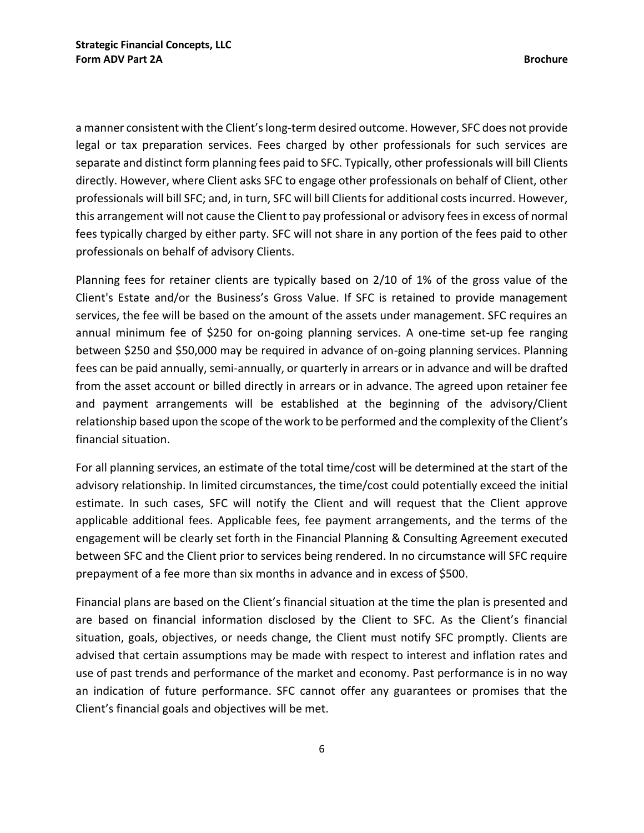a manner consistent with the Client's long-term desired outcome. However, SFC does not provide legal or tax preparation services. Fees charged by other professionals for such services are separate and distinct form planning fees paid to SFC. Typically, other professionals will bill Clients directly. However, where Client asks SFC to engage other professionals on behalf of Client, other professionals will bill SFC; and, in turn, SFC will bill Clients for additional costs incurred. However, this arrangement will not cause the Client to pay professional or advisory fees in excess of normal fees typically charged by either party. SFC will not share in any portion of the fees paid to other professionals on behalf of advisory Clients.

Planning fees for retainer clients are typically based on 2/10 of 1% of the gross value of the Client's Estate and/or the Business's Gross Value. If SFC is retained to provide management services, the fee will be based on the amount of the assets under management. SFC requires an annual minimum fee of \$250 for on-going planning services. A one-time set-up fee ranging between \$250 and \$50,000 may be required in advance of on-going planning services. Planning fees can be paid annually, semi-annually, or quarterly in arrears or in advance and will be drafted from the asset account or billed directly in arrears or in advance. The agreed upon retainer fee and payment arrangements will be established at the beginning of the advisory/Client relationship based upon the scope of the work to be performed and the complexity of the Client's financial situation.

For all planning services, an estimate of the total time/cost will be determined at the start of the advisory relationship. In limited circumstances, the time/cost could potentially exceed the initial estimate. In such cases, SFC will notify the Client and will request that the Client approve applicable additional fees. Applicable fees, fee payment arrangements, and the terms of the engagement will be clearly set forth in the Financial Planning & Consulting Agreement executed between SFC and the Client prior to services being rendered. In no circumstance will SFC require prepayment of a fee more than six months in advance and in excess of \$500.

Financial plans are based on the Client's financial situation at the time the plan is presented and are based on financial information disclosed by the Client to SFC. As the Client's financial situation, goals, objectives, or needs change, the Client must notify SFC promptly. Clients are advised that certain assumptions may be made with respect to interest and inflation rates and use of past trends and performance of the market and economy. Past performance is in no way an indication of future performance. SFC cannot offer any guarantees or promises that the Client's financial goals and objectives will be met.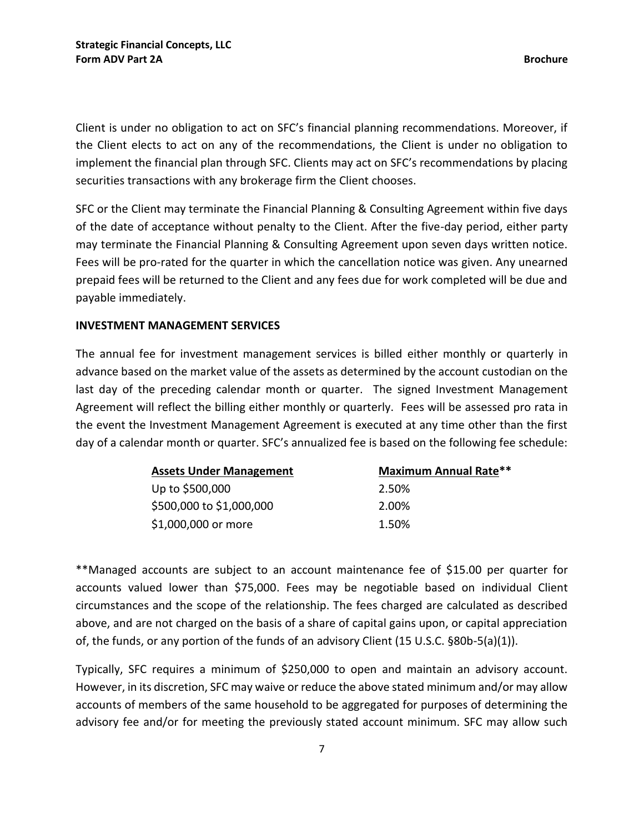Client is under no obligation to act on SFC's financial planning recommendations. Moreover, if the Client elects to act on any of the recommendations, the Client is under no obligation to implement the financial plan through SFC. Clients may act on SFC's recommendations by placing securities transactions with any brokerage firm the Client chooses.

SFC or the Client may terminate the Financial Planning & Consulting Agreement within five days of the date of acceptance without penalty to the Client. After the five-day period, either party may terminate the Financial Planning & Consulting Agreement upon seven days written notice. Fees will be pro-rated for the quarter in which the cancellation notice was given. Any unearned prepaid fees will be returned to the Client and any fees due for work completed will be due and payable immediately.

#### **INVESTMENT MANAGEMENT SERVICES**

The annual fee for investment management services is billed either monthly or quarterly in advance based on the market value of the assets as determined by the account custodian on the last day of the preceding calendar month or quarter. The signed Investment Management Agreement will reflect the billing either monthly or quarterly. Fees will be assessed pro rata in the event the Investment Management Agreement is executed at any time other than the first day of a calendar month or quarter. SFC's annualized fee is based on the following fee schedule:

| <b>Assets Under Management</b> | <b>Maximum Annual Rate**</b> |
|--------------------------------|------------------------------|
| Up to \$500,000                | 2.50%                        |
| \$500,000 to \$1,000,000       | 2.00%                        |
| \$1,000,000 or more            | 1.50%                        |

\*\*Managed accounts are subject to an account maintenance fee of \$15.00 per quarter for accounts valued lower than \$75,000. Fees may be negotiable based on individual Client circumstances and the scope of the relationship. The fees charged are calculated as described above, and are not charged on the basis of a share of capital gains upon, or capital appreciation of, the funds, or any portion of the funds of an advisory Client (15 U.S.C. §80b-5(a)(1)).

Typically, SFC requires a minimum of \$250,000 to open and maintain an advisory account. However, in its discretion, SFC may waive or reduce the above stated minimum and/or may allow accounts of members of the same household to be aggregated for purposes of determining the advisory fee and/or for meeting the previously stated account minimum. SFC may allow such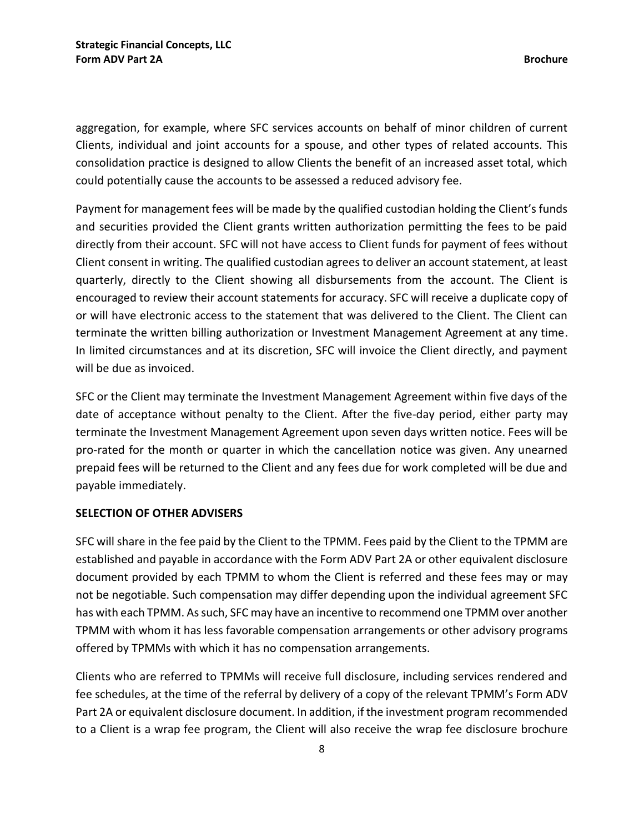aggregation, for example, where SFC services accounts on behalf of minor children of current Clients, individual and joint accounts for a spouse, and other types of related accounts. This consolidation practice is designed to allow Clients the benefit of an increased asset total, which could potentially cause the accounts to be assessed a reduced advisory fee.

Payment for management fees will be made by the qualified custodian holding the Client's funds and securities provided the Client grants written authorization permitting the fees to be paid directly from their account. SFC will not have access to Client funds for payment of fees without Client consent in writing. The qualified custodian agrees to deliver an account statement, at least quarterly, directly to the Client showing all disbursements from the account. The Client is encouraged to review their account statements for accuracy. SFC will receive a duplicate copy of or will have electronic access to the statement that was delivered to the Client. The Client can terminate the written billing authorization or Investment Management Agreement at any time. In limited circumstances and at its discretion, SFC will invoice the Client directly, and payment will be due as invoiced.

SFC or the Client may terminate the Investment Management Agreement within five days of the date of acceptance without penalty to the Client. After the five-day period, either party may terminate the Investment Management Agreement upon seven days written notice. Fees will be pro-rated for the month or quarter in which the cancellation notice was given. Any unearned prepaid fees will be returned to the Client and any fees due for work completed will be due and payable immediately.

#### **SELECTION OF OTHER ADVISERS**

SFC will share in the fee paid by the Client to the TPMM. Fees paid by the Client to the TPMM are established and payable in accordance with the Form ADV Part 2A or other equivalent disclosure document provided by each TPMM to whom the Client is referred and these fees may or may not be negotiable. Such compensation may differ depending upon the individual agreement SFC has with each TPMM. As such, SFC may have an incentive to recommend one TPMM over another TPMM with whom it has less favorable compensation arrangements or other advisory programs offered by TPMMs with which it has no compensation arrangements.

Clients who are referred to TPMMs will receive full disclosure, including services rendered and fee schedules, at the time of the referral by delivery of a copy of the relevant TPMM's Form ADV Part 2A or equivalent disclosure document. In addition, if the investment program recommended to a Client is a wrap fee program, the Client will also receive the wrap fee disclosure brochure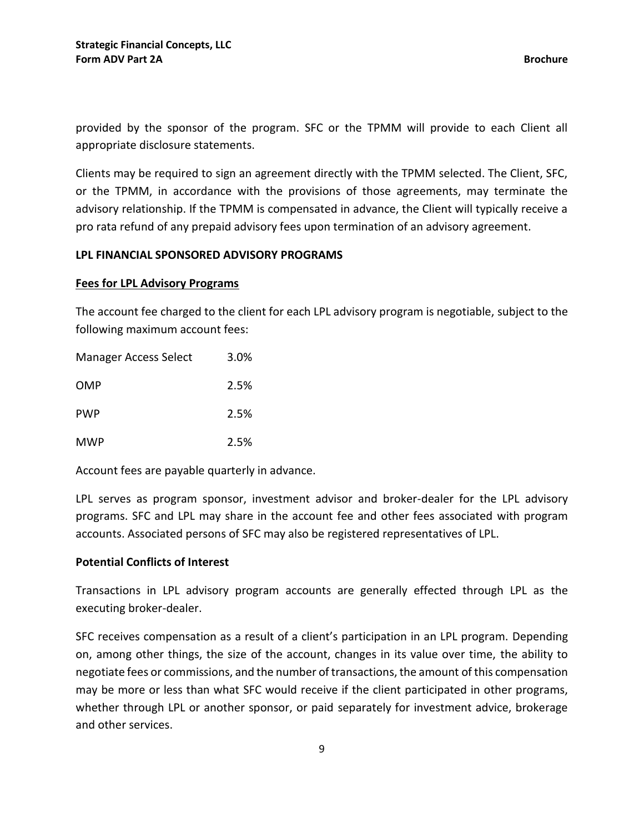provided by the sponsor of the program. SFC or the TPMM will provide to each Client all appropriate disclosure statements.

Clients may be required to sign an agreement directly with the TPMM selected. The Client, SFC, or the TPMM, in accordance with the provisions of those agreements, may terminate the advisory relationship. If the TPMM is compensated in advance, the Client will typically receive a pro rata refund of any prepaid advisory fees upon termination of an advisory agreement.

#### **LPL FINANCIAL SPONSORED ADVISORY PROGRAMS**

#### **Fees for LPL Advisory Programs**

The account fee charged to the client for each LPL advisory program is negotiable, subject to the following maximum account fees:

| <b>Manager Access Select</b> | 3.0% |
|------------------------------|------|
| OMP                          | 2.5% |
| <b>PWP</b>                   | 2.5% |
| MWP                          | 2.5% |

Account fees are payable quarterly in advance.

LPL serves as program sponsor, investment advisor and broker-dealer for the LPL advisory programs. SFC and LPL may share in the account fee and other fees associated with program accounts. Associated persons of SFC may also be registered representatives of LPL.

#### **Potential Conflicts of Interest**

Transactions in LPL advisory program accounts are generally effected through LPL as the executing broker-dealer.

SFC receives compensation as a result of a client's participation in an LPL program. Depending on, among other things, the size of the account, changes in its value over time, the ability to negotiate fees or commissions, and the number of transactions, the amount of this compensation may be more or less than what SFC would receive if the client participated in other programs, whether through LPL or another sponsor, or paid separately for investment advice, brokerage and other services.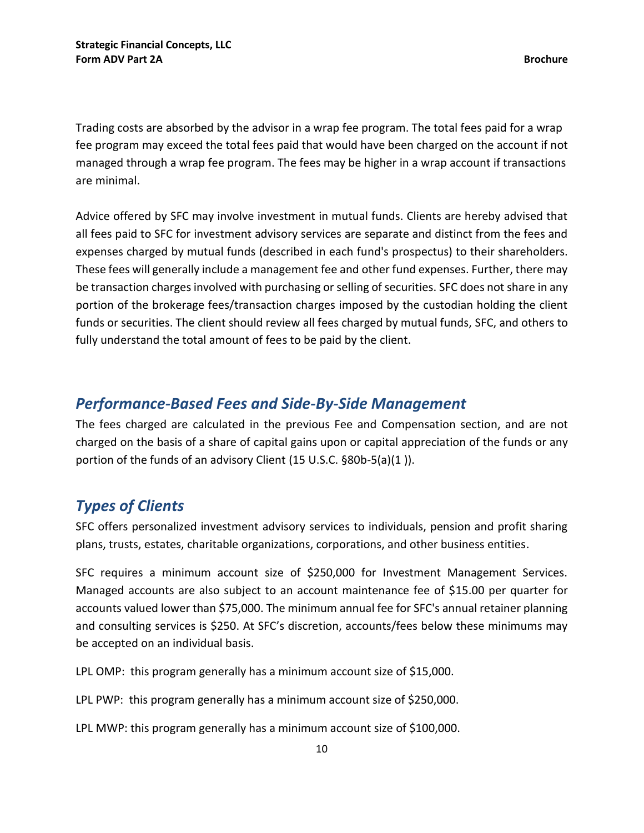Trading costs are absorbed by the advisor in a wrap fee program. The total fees paid for a wrap fee program may exceed the total fees paid that would have been charged on the account if not managed through a wrap fee program. The fees may be higher in a wrap account if transactions are minimal.

Advice offered by SFC may involve investment in mutual funds. Clients are hereby advised that all fees paid to SFC for investment advisory services are separate and distinct from the fees and expenses charged by mutual funds (described in each fund's prospectus) to their shareholders. These fees will generally include a management fee and other fund expenses. Further, there may be transaction charges involved with purchasing or selling of securities. SFC does not share in any portion of the brokerage fees/transaction charges imposed by the custodian holding the client funds or securities. The client should review all fees charged by mutual funds, SFC, and others to fully understand the total amount of fees to be paid by the client.

## <span id="page-12-0"></span>*Performance-Based Fees and Side-By-Side Management*

The fees charged are calculated in the previous Fee and Compensation section, and are not charged on the basis of a share of capital gains upon or capital appreciation of the funds or any portion of the funds of an advisory Client (15 U.S.C. §80b-5(a)(1 )).

## <span id="page-12-1"></span>*Types of Clients*

SFC offers personalized investment advisory services to individuals, pension and profit sharing plans, trusts, estates, charitable organizations, corporations, and other business entities.

SFC requires a minimum account size of \$250,000 for Investment Management Services. Managed accounts are also subject to an account maintenance fee of \$15.00 per quarter for accounts valued lower than \$75,000. The minimum annual fee for SFC's annual retainer planning and consulting services is \$250. At SFC's discretion, accounts/fees below these minimums may be accepted on an individual basis.

LPL OMP: this program generally has a minimum account size of \$15,000.

LPL PWP: this program generally has a minimum account size of \$250,000.

LPL MWP: this program generally has a minimum account size of \$100,000.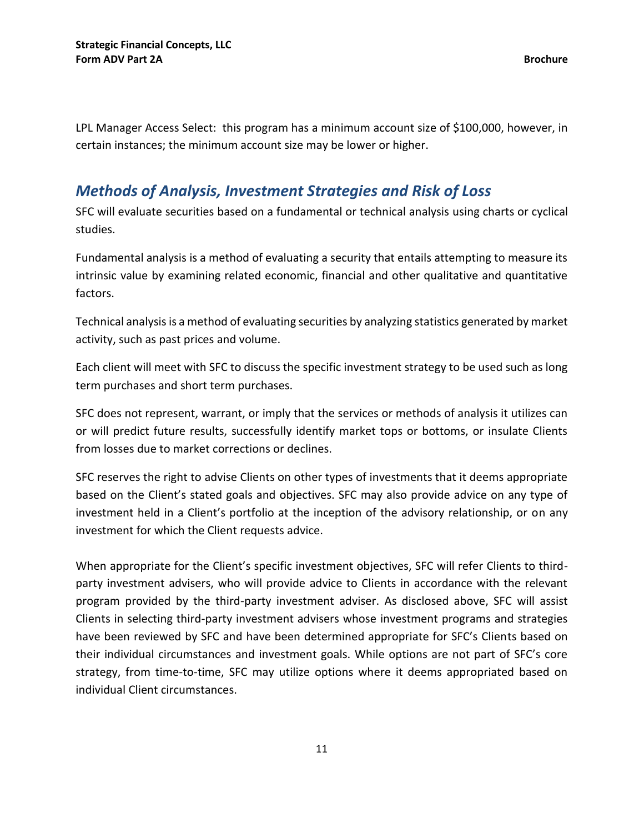LPL Manager Access Select: this program has a minimum account size of \$100,000, however, in certain instances; the minimum account size may be lower or higher.

## <span id="page-13-0"></span>*Methods of Analysis, Investment Strategies and Risk of Loss*

SFC will evaluate securities based on a fundamental or technical analysis using charts or cyclical studies.

Fundamental analysis is a method of evaluating a security that entails attempting to measure its intrinsic value by examining related economic, financial and other qualitative and quantitative factors.

Technical analysis is a method of evaluating securities by analyzing statistics generated by market activity, such as past prices and volume.

Each client will meet with SFC to discuss the specific investment strategy to be used such as long term purchases and short term purchases.

SFC does not represent, warrant, or imply that the services or methods of analysis it utilizes can or will predict future results, successfully identify market tops or bottoms, or insulate Clients from losses due to market corrections or declines.

SFC reserves the right to advise Clients on other types of investments that it deems appropriate based on the Client's stated goals and objectives. SFC may also provide advice on any type of investment held in a Client's portfolio at the inception of the advisory relationship, or on any investment for which the Client requests advice.

When appropriate for the Client's specific investment objectives, SFC will refer Clients to thirdparty investment advisers, who will provide advice to Clients in accordance with the relevant program provided by the third-party investment adviser. As disclosed above, SFC will assist Clients in selecting third-party investment advisers whose investment programs and strategies have been reviewed by SFC and have been determined appropriate for SFC's Clients based on their individual circumstances and investment goals. While options are not part of SFC's core strategy, from time-to-time, SFC may utilize options where it deems appropriated based on individual Client circumstances.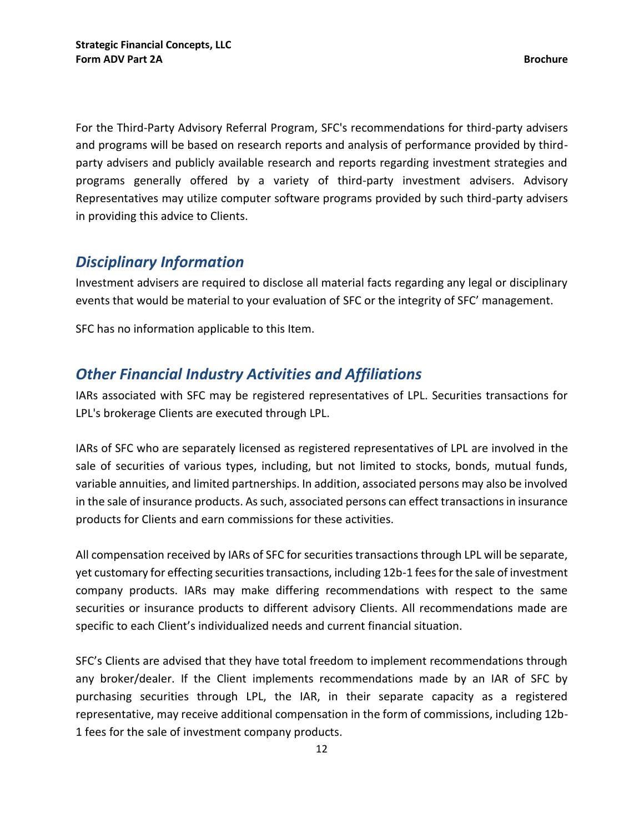For the Third-Party Advisory Referral Program, SFC's recommendations for third-party advisers and programs will be based on research reports and analysis of performance provided by thirdparty advisers and publicly available research and reports regarding investment strategies and programs generally offered by a variety of third-party investment advisers. Advisory Representatives may utilize computer software programs provided by such third-party advisers in providing this advice to Clients.

## <span id="page-14-0"></span>*Disciplinary Information*

Investment advisers are required to disclose all material facts regarding any legal or disciplinary events that would be material to your evaluation of SFC or the integrity of SFC' management.

SFC has no information applicable to this Item.

## <span id="page-14-1"></span>*Other Financial Industry Activities and Affiliations*

IARs associated with SFC may be registered representatives of LPL. Securities transactions for LPL's brokerage Clients are executed through LPL.

IARs of SFC who are separately licensed as registered representatives of LPL are involved in the sale of securities of various types, including, but not limited to stocks, bonds, mutual funds, variable annuities, and limited partnerships. In addition, associated persons may also be involved in the sale of insurance products. As such, associated persons can effect transactions in insurance products for Clients and earn commissions for these activities.

All compensation received by IARs of SFC for securities transactions through LPL will be separate, yet customary for effecting securities transactions, including 12b-1 fees for the sale of investment company products. IARs may make differing recommendations with respect to the same securities or insurance products to different advisory Clients. All recommendations made are specific to each Client's individualized needs and current financial situation.

SFC's Clients are advised that they have total freedom to implement recommendations through any broker/dealer. If the Client implements recommendations made by an IAR of SFC by purchasing securities through LPL, the IAR, in their separate capacity as a registered representative, may receive additional compensation in the form of commissions, including 12b-1 fees for the sale of investment company products.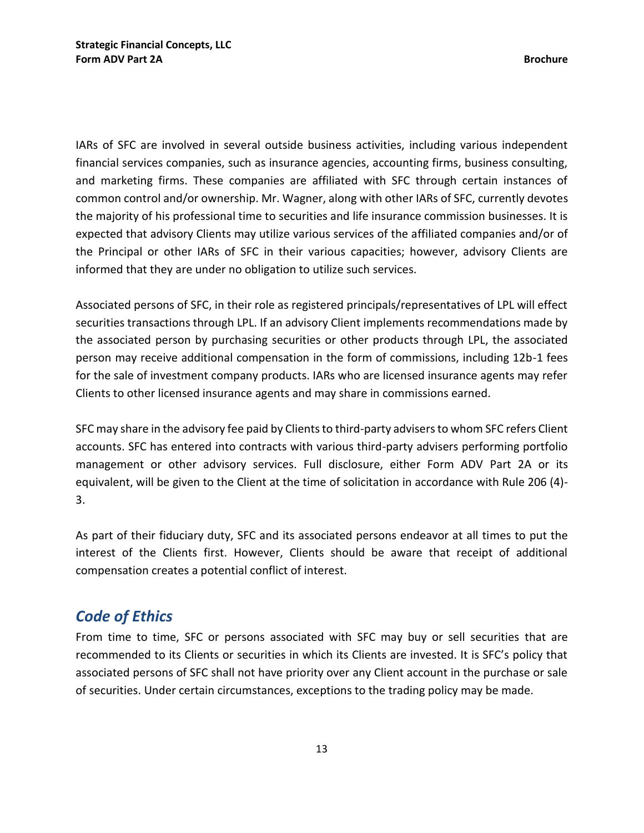IARs of SFC are involved in several outside business activities, including various independent financial services companies, such as insurance agencies, accounting firms, business consulting, and marketing firms. These companies are affiliated with SFC through certain instances of common control and/or ownership. Mr. Wagner, along with other IARs of SFC, currently devotes the majority of his professional time to securities and life insurance commission businesses. It is expected that advisory Clients may utilize various services of the affiliated companies and/or of the Principal or other IARs of SFC in their various capacities; however, advisory Clients are informed that they are under no obligation to utilize such services.

Associated persons of SFC, in their role as registered principals/representatives of LPL will effect securities transactions through LPL. If an advisory Client implements recommendations made by the associated person by purchasing securities or other products through LPL, the associated person may receive additional compensation in the form of commissions, including 12b-1 fees for the sale of investment company products. IARs who are licensed insurance agents may refer Clients to other licensed insurance agents and may share in commissions earned.

SFC may share in the advisory fee paid by Clients to third-party advisers to whom SFC refers Client accounts. SFC has entered into contracts with various third-party advisers performing portfolio management or other advisory services. Full disclosure, either Form ADV Part 2A or its equivalent, will be given to the Client at the time of solicitation in accordance with Rule 206 (4)- 3.

As part of their fiduciary duty, SFC and its associated persons endeavor at all times to put the interest of the Clients first. However, Clients should be aware that receipt of additional compensation creates a potential conflict of interest.

## <span id="page-15-0"></span>*Code of Ethics*

From time to time, SFC or persons associated with SFC may buy or sell securities that are recommended to its Clients or securities in which its Clients are invested. It is SFC's policy that associated persons of SFC shall not have priority over any Client account in the purchase or sale of securities. Under certain circumstances, exceptions to the trading policy may be made.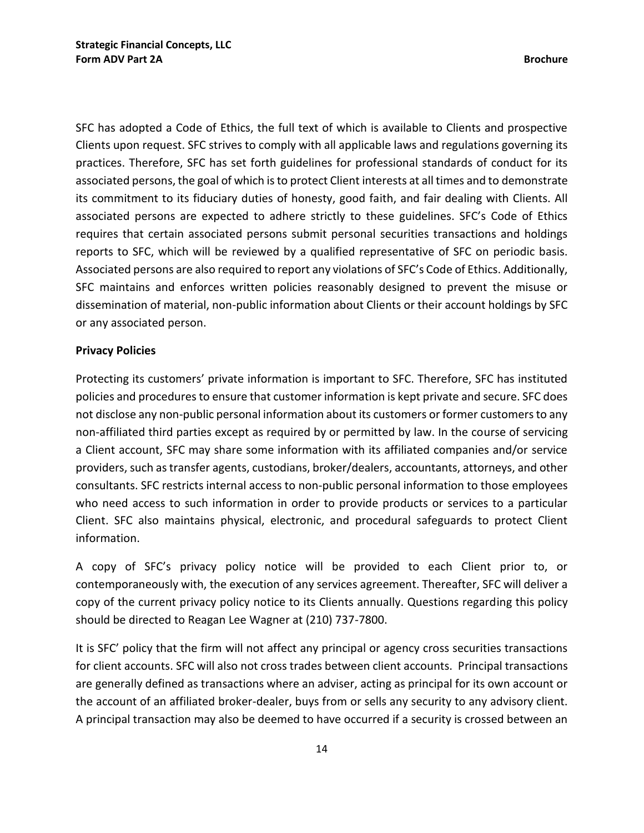SFC has adopted a Code of Ethics, the full text of which is available to Clients and prospective Clients upon request. SFC strives to comply with all applicable laws and regulations governing its practices. Therefore, SFC has set forth guidelines for professional standards of conduct for its associated persons, the goal of which is to protect Client interests at all times and to demonstrate its commitment to its fiduciary duties of honesty, good faith, and fair dealing with Clients. All associated persons are expected to adhere strictly to these guidelines. SFC's Code of Ethics requires that certain associated persons submit personal securities transactions and holdings reports to SFC, which will be reviewed by a qualified representative of SFC on periodic basis. Associated persons are also required to report any violations of SFC's Code of Ethics. Additionally, SFC maintains and enforces written policies reasonably designed to prevent the misuse or dissemination of material, non-public information about Clients or their account holdings by SFC or any associated person.

#### **Privacy Policies**

Protecting its customers' private information is important to SFC. Therefore, SFC has instituted policies and procedures to ensure that customer information is kept private and secure. SFC does not disclose any non-public personal information about its customers or former customers to any non-affiliated third parties except as required by or permitted by law. In the course of servicing a Client account, SFC may share some information with its affiliated companies and/or service providers, such as transfer agents, custodians, broker/dealers, accountants, attorneys, and other consultants. SFC restricts internal access to non-public personal information to those employees who need access to such information in order to provide products or services to a particular Client. SFC also maintains physical, electronic, and procedural safeguards to protect Client information.

A copy of SFC's privacy policy notice will be provided to each Client prior to, or contemporaneously with, the execution of any services agreement. Thereafter, SFC will deliver a copy of the current privacy policy notice to its Clients annually. Questions regarding this policy should be directed to Reagan Lee Wagner at (210) 737-7800.

It is SFC' policy that the firm will not affect any principal or agency cross securities transactions for client accounts. SFC will also not cross trades between client accounts. Principal transactions are generally defined as transactions where an adviser, acting as principal for its own account or the account of an affiliated broker-dealer, buys from or sells any security to any advisory client. A principal transaction may also be deemed to have occurred if a security is crossed between an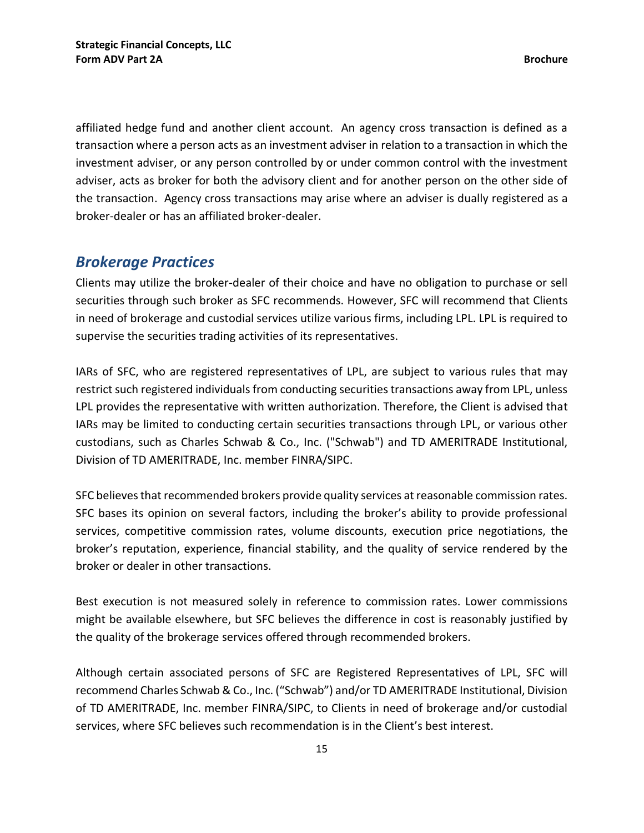affiliated hedge fund and another client account. An agency cross transaction is defined as a transaction where a person acts as an investment adviser in relation to a transaction in which the investment adviser, or any person controlled by or under common control with the investment adviser, acts as broker for both the advisory client and for another person on the other side of the transaction. Agency cross transactions may arise where an adviser is dually registered as a broker-dealer or has an affiliated broker-dealer.

## <span id="page-17-0"></span>*Brokerage Practices*

Clients may utilize the broker-dealer of their choice and have no obligation to purchase or sell securities through such broker as SFC recommends. However, SFC will recommend that Clients in need of brokerage and custodial services utilize various firms, including LPL. LPL is required to supervise the securities trading activities of its representatives.

IARs of SFC, who are registered representatives of LPL, are subject to various rules that may restrict such registered individuals from conducting securities transactions away from LPL, unless LPL provides the representative with written authorization. Therefore, the Client is advised that IARs may be limited to conducting certain securities transactions through LPL, or various other custodians, such as Charles Schwab & Co., Inc. ("Schwab") and TD AMERITRADE Institutional, Division of TD AMERITRADE, Inc. member FINRA/SIPC.

SFC believes that recommended brokers provide quality services at reasonable commission rates. SFC bases its opinion on several factors, including the broker's ability to provide professional services, competitive commission rates, volume discounts, execution price negotiations, the broker's reputation, experience, financial stability, and the quality of service rendered by the broker or dealer in other transactions.

Best execution is not measured solely in reference to commission rates. Lower commissions might be available elsewhere, but SFC believes the difference in cost is reasonably justified by the quality of the brokerage services offered through recommended brokers.

Although certain associated persons of SFC are Registered Representatives of LPL, SFC will recommend Charles Schwab & Co., Inc. ("Schwab") and/or TD AMERITRADE Institutional, Division of TD AMERITRADE, Inc. member FINRA/SIPC, to Clients in need of brokerage and/or custodial services, where SFC believes such recommendation is in the Client's best interest.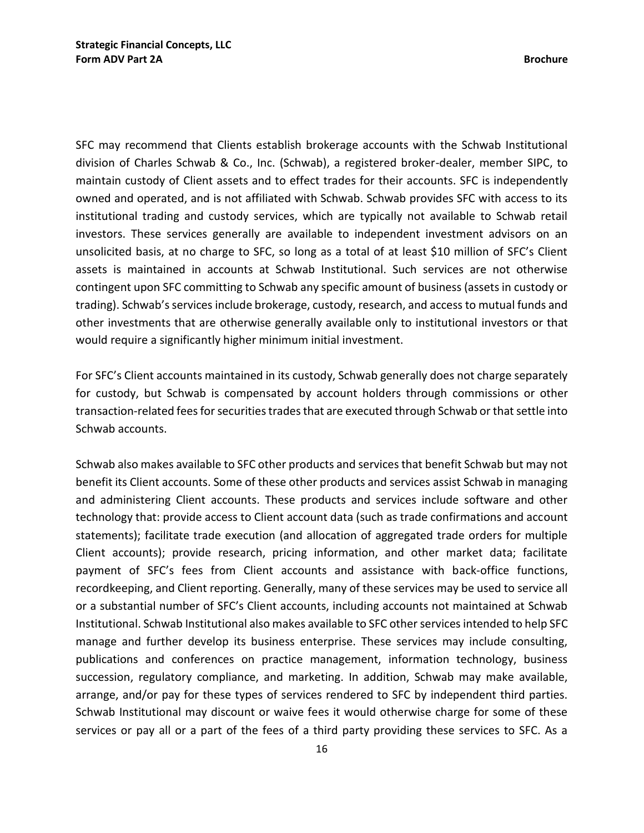SFC may recommend that Clients establish brokerage accounts with the Schwab Institutional division of Charles Schwab & Co., Inc. (Schwab), a registered broker-dealer, member SIPC, to maintain custody of Client assets and to effect trades for their accounts. SFC is independently owned and operated, and is not affiliated with Schwab. Schwab provides SFC with access to its institutional trading and custody services, which are typically not available to Schwab retail investors. These services generally are available to independent investment advisors on an unsolicited basis, at no charge to SFC, so long as a total of at least \$10 million of SFC's Client assets is maintained in accounts at Schwab Institutional. Such services are not otherwise contingent upon SFC committing to Schwab any specific amount of business (assets in custody or trading). Schwab's services include brokerage, custody, research, and access to mutual funds and other investments that are otherwise generally available only to institutional investors or that would require a significantly higher minimum initial investment.

For SFC's Client accounts maintained in its custody, Schwab generally does not charge separately for custody, but Schwab is compensated by account holders through commissions or other transaction-related fees for securities trades that are executed through Schwab or that settle into Schwab accounts.

Schwab also makes available to SFC other products and services that benefit Schwab but may not benefit its Client accounts. Some of these other products and services assist Schwab in managing and administering Client accounts. These products and services include software and other technology that: provide access to Client account data (such as trade confirmations and account statements); facilitate trade execution (and allocation of aggregated trade orders for multiple Client accounts); provide research, pricing information, and other market data; facilitate payment of SFC's fees from Client accounts and assistance with back-office functions, recordkeeping, and Client reporting. Generally, many of these services may be used to service all or a substantial number of SFC's Client accounts, including accounts not maintained at Schwab Institutional. Schwab Institutional also makes available to SFC other services intended to help SFC manage and further develop its business enterprise. These services may include consulting, publications and conferences on practice management, information technology, business succession, regulatory compliance, and marketing. In addition, Schwab may make available, arrange, and/or pay for these types of services rendered to SFC by independent third parties. Schwab Institutional may discount or waive fees it would otherwise charge for some of these services or pay all or a part of the fees of a third party providing these services to SFC. As a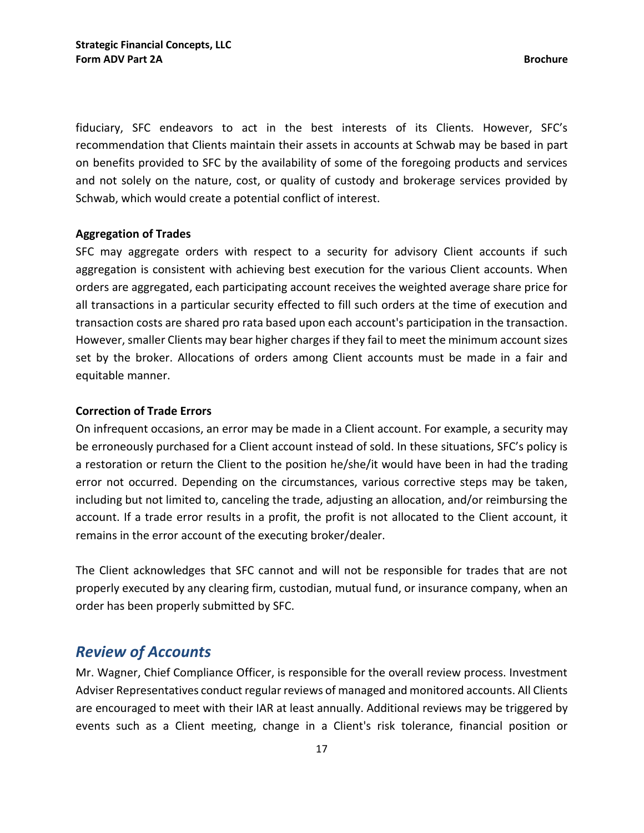fiduciary, SFC endeavors to act in the best interests of its Clients. However, SFC's recommendation that Clients maintain their assets in accounts at Schwab may be based in part on benefits provided to SFC by the availability of some of the foregoing products and services and not solely on the nature, cost, or quality of custody and brokerage services provided by Schwab, which would create a potential conflict of interest.

#### **Aggregation of Trades**

SFC may aggregate orders with respect to a security for advisory Client accounts if such aggregation is consistent with achieving best execution for the various Client accounts. When orders are aggregated, each participating account receives the weighted average share price for all transactions in a particular security effected to fill such orders at the time of execution and transaction costs are shared pro rata based upon each account's participation in the transaction. However, smaller Clients may bear higher charges if they fail to meet the minimum account sizes set by the broker. Allocations of orders among Client accounts must be made in a fair and equitable manner.

#### **Correction of Trade Errors**

On infrequent occasions, an error may be made in a Client account. For example, a security may be erroneously purchased for a Client account instead of sold. In these situations, SFC's policy is a restoration or return the Client to the position he/she/it would have been in had the trading error not occurred. Depending on the circumstances, various corrective steps may be taken, including but not limited to, canceling the trade, adjusting an allocation, and/or reimbursing the account. If a trade error results in a profit, the profit is not allocated to the Client account, it remains in the error account of the executing broker/dealer.

The Client acknowledges that SFC cannot and will not be responsible for trades that are not properly executed by any clearing firm, custodian, mutual fund, or insurance company, when an order has been properly submitted by SFC.

## <span id="page-19-0"></span>*Review of Accounts*

Mr. Wagner, Chief Compliance Officer, is responsible for the overall review process. Investment Adviser Representatives conduct regular reviews of managed and monitored accounts. All Clients are encouraged to meet with their IAR at least annually. Additional reviews may be triggered by events such as a Client meeting, change in a Client's risk tolerance, financial position or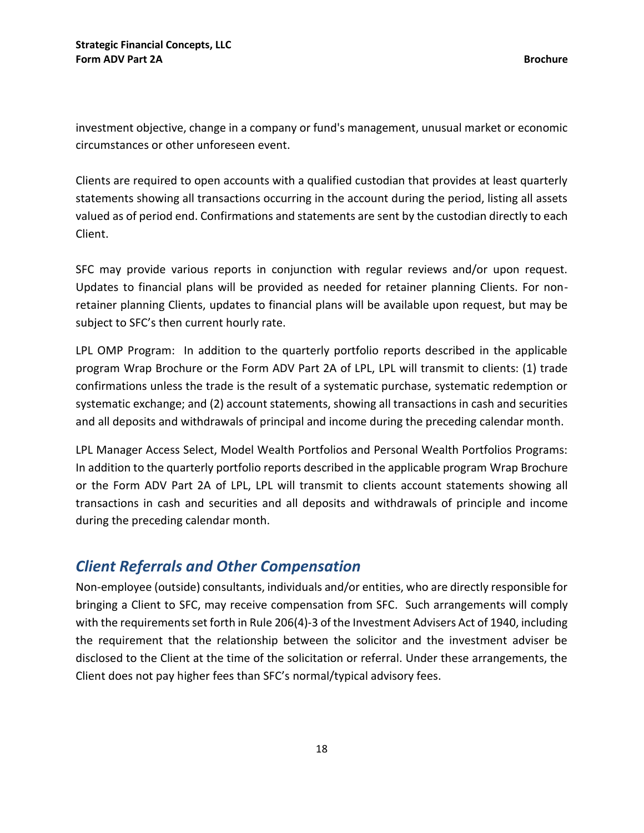investment objective, change in a company or fund's management, unusual market or economic circumstances or other unforeseen event.

Clients are required to open accounts with a qualified custodian that provides at least quarterly statements showing all transactions occurring in the account during the period, listing all assets valued as of period end. Confirmations and statements are sent by the custodian directly to each Client.

SFC may provide various reports in conjunction with regular reviews and/or upon request. Updates to financial plans will be provided as needed for retainer planning Clients. For nonretainer planning Clients, updates to financial plans will be available upon request, but may be subject to SFC's then current hourly rate.

LPL OMP Program: In addition to the quarterly portfolio reports described in the applicable program Wrap Brochure or the Form ADV Part 2A of LPL, LPL will transmit to clients: (1) trade confirmations unless the trade is the result of a systematic purchase, systematic redemption or systematic exchange; and (2) account statements, showing all transactions in cash and securities and all deposits and withdrawals of principal and income during the preceding calendar month.

LPL Manager Access Select, Model Wealth Portfolios and Personal Wealth Portfolios Programs: In addition to the quarterly portfolio reports described in the applicable program Wrap Brochure or the Form ADV Part 2A of LPL, LPL will transmit to clients account statements showing all transactions in cash and securities and all deposits and withdrawals of principle and income during the preceding calendar month.

## <span id="page-20-0"></span>*Client Referrals and Other Compensation*

Non-employee (outside) consultants, individuals and/or entities, who are directly responsible for bringing a Client to SFC, may receive compensation from SFC. Such arrangements will comply with the requirements set forth in Rule 206(4)-3 of the Investment Advisers Act of 1940, including the requirement that the relationship between the solicitor and the investment adviser be disclosed to the Client at the time of the solicitation or referral. Under these arrangements, the Client does not pay higher fees than SFC's normal/typical advisory fees.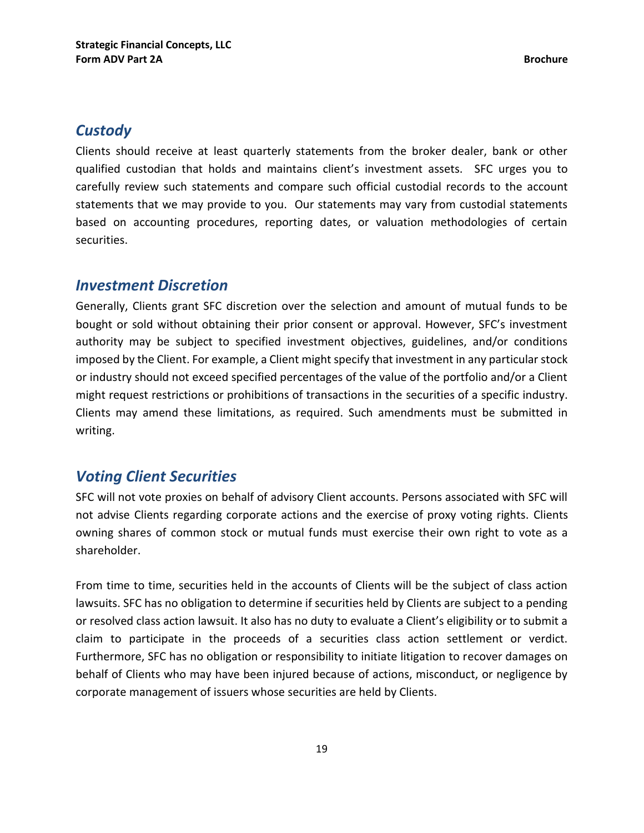## <span id="page-21-0"></span>*Custody*

Clients should receive at least quarterly statements from the broker dealer, bank or other qualified custodian that holds and maintains client's investment assets. SFC urges you to carefully review such statements and compare such official custodial records to the account statements that we may provide to you. Our statements may vary from custodial statements based on accounting procedures, reporting dates, or valuation methodologies of certain securities.

### <span id="page-21-1"></span>*Investment Discretion*

Generally, Clients grant SFC discretion over the selection and amount of mutual funds to be bought or sold without obtaining their prior consent or approval. However, SFC's investment authority may be subject to specified investment objectives, guidelines, and/or conditions imposed by the Client. For example, a Client might specify that investment in any particular stock or industry should not exceed specified percentages of the value of the portfolio and/or a Client might request restrictions or prohibitions of transactions in the securities of a specific industry. Clients may amend these limitations, as required. Such amendments must be submitted in writing.

## <span id="page-21-2"></span>*Voting Client Securities*

SFC will not vote proxies on behalf of advisory Client accounts. Persons associated with SFC will not advise Clients regarding corporate actions and the exercise of proxy voting rights. Clients owning shares of common stock or mutual funds must exercise their own right to vote as a shareholder.

From time to time, securities held in the accounts of Clients will be the subject of class action lawsuits. SFC has no obligation to determine if securities held by Clients are subject to a pending or resolved class action lawsuit. It also has no duty to evaluate a Client's eligibility or to submit a claim to participate in the proceeds of a securities class action settlement or verdict. Furthermore, SFC has no obligation or responsibility to initiate litigation to recover damages on behalf of Clients who may have been injured because of actions, misconduct, or negligence by corporate management of issuers whose securities are held by Clients.